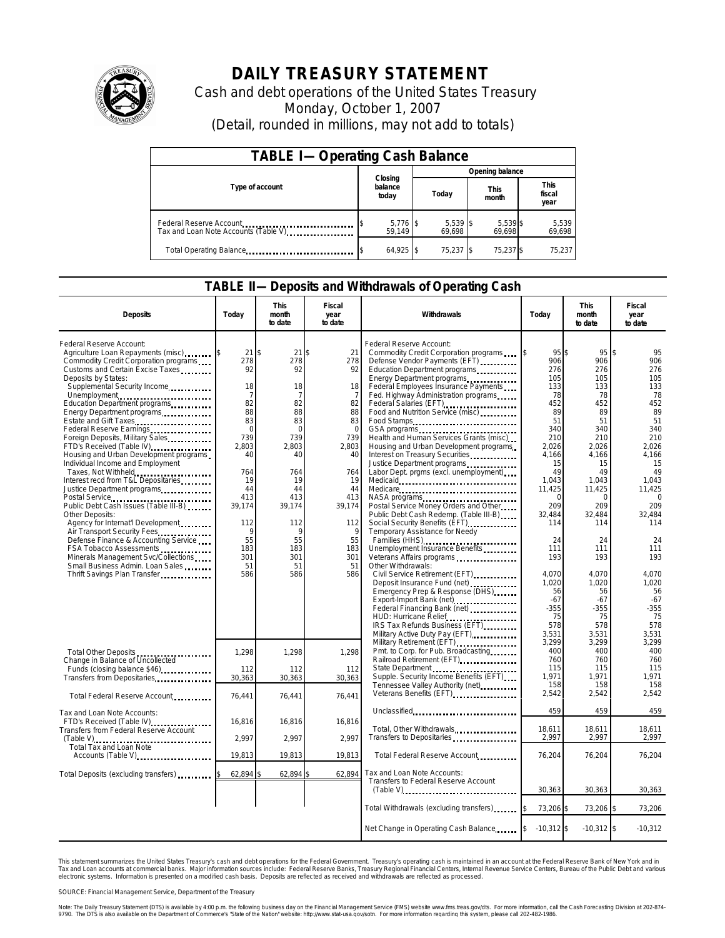

## **DAILY TREASURY STATEMENT**

Cash and debt operations of the United States Treasury Monday, October 1, 2007 (Detail, rounded in millions, may not add to totals)

| <b>TABLE I-Operating Cash Balance</b>                           |                             |                      |                      |                               |  |  |  |
|-----------------------------------------------------------------|-----------------------------|----------------------|----------------------|-------------------------------|--|--|--|
|                                                                 |                             | Opening balance      |                      |                               |  |  |  |
| Type of account                                                 | Closing<br>balance<br>today | Today                | <b>This</b><br>month | <b>This</b><br>fiscal<br>year |  |  |  |
| Federal Reserve Account<br>Tax and Loan Note Accounts (Table V) | $5,776$ \$<br>59.149        | $5,539$ \$<br>69.698 | 5,539 \$<br>69.698   | 5,539<br>69,698               |  |  |  |
| Total Operating Balance                                         | $64,925$ \$                 | 75,237 \$            | 75,237 \$            | 75.237                        |  |  |  |

## **TABLE II—Deposits and Withdrawals of Operating Cash**

| <b>Deposits</b>                                                                                         | Today                    | <b>This</b><br>month<br>to date | Fiscal<br>year<br>to date | Withdrawals                                                                                                                                          | Today                        | <b>This</b><br>month<br>to date   | Fiscal<br>year<br>to date         |
|---------------------------------------------------------------------------------------------------------|--------------------------|---------------------------------|---------------------------|------------------------------------------------------------------------------------------------------------------------------------------------------|------------------------------|-----------------------------------|-----------------------------------|
| Federal Reserve Account:<br>Agriculture Loan Repayments (misc)<br>Commodity Credit Corporation programs | 21<br>278                | 21<br>278                       | 21<br>278                 | Federal Reserve Account:<br>Commodity Credit Corporation programs \ \ \ \ \ \<br>Defense Vendor Payments (EFT)                                       | 95<br>906                    | $95$ \ \$<br>\$<br>906            | 95<br>906                         |
| Customs and Certain Excise Taxes<br>Deposits by States:<br>Supplemental Security Income                 | 92<br>18                 | 92<br>18                        | 92<br>18                  | Education Department programs<br>Energy Department programs<br>Federal Employees Insurance Payments                                                  | 276<br>105<br>133            | 276<br>105<br>133                 | 276<br>105<br>133                 |
| Unemployment<br>Education Department programs<br>Energy Department programs                             | 7<br>82<br>88            | 7<br>82<br>88                   | -7<br>82<br>88            | Fed. Highway Administration programs<br>Federal Salaries (EFT)<br>1999 - Production Balance Carl Salaries (EFT)<br>Food and Nutrition Service (misc) | 78<br>452<br>89              | 78<br>452<br>89                   | 78<br>452<br>89                   |
| Estate and Gift Taxes<br>Federal Reserve Earnings<br>Foreign Deposits, Military Sales                   | 83<br>$\mathbf 0$<br>739 | 83<br>$\Omega$<br>739           | 83<br>$\Omega$<br>739     | Food Stamps<br>Health and Human Services Grants (misc)                                                                                               | 51<br>340<br>210             | 51<br>340<br>210                  | 51<br>340<br>210                  |
| FTD's Received (Table IV)<br>Housing and Urban Development programs<br>Individual Income and Employment | 2,803<br>40              | 2,803<br>40                     | 2,803<br>40               | Housing and Urban Development programs<br>Interest on Treasury Securities                                                                            | 2,026<br>4,166<br>15         | 2,026<br>4,166<br>15              | 2,026<br>4,166<br>15              |
| Taxes, Not Withheld<br>Interest recd from T&L Depositaries<br>Justice Department programs               | 764<br>19<br>44<br>413   | 764<br>19<br>44<br>413          | 764<br>19<br>44<br>413    | Labor Dept. prgms (excl. unemployment)                                                                                                               | 49<br>1,043<br>11,425        | 49<br>1,043<br>11,425<br>$\Omega$ | 49<br>1,043<br>11,425<br>$\Omega$ |
| Public Debt Cash Issues (Table III-B)<br>Other Deposits:<br>Agency for Internat'l Development           | 39,174<br>112            | 39,174<br>112                   | 39,174<br>112             | NASA programs<br>Postal Service Money Orders and Other<br>Public Debt Cash Redemp. (Table III-B)<br>Social Security Benefits (EFT)                   | 209<br>32.484<br>114         | 209<br>32,484<br>114              | 209<br>32,484<br>114              |
| Air Transport Security Fees.<br>Defense Finance & Accounting Service<br>FSA Tobacco Assessments         | 9<br>55<br>183           | 9<br>55<br>183                  | 9<br>55<br>183            | Temporary Assistance for Needy<br>Families (HHS)<br>Unemployment Insurance Benefits                                                                  | 24<br>111                    | 24<br>111                         | 24<br>111                         |
| Minerals Management Svc/Collections<br>Small Business Admin. Loan Sales<br>Thrift Savings Plan Transfer | 301<br>51<br>586         | 301<br>51<br>586                | 301<br>51<br>586          | Veterans Affairs programs<br>Other Withdrawals:<br>Civil Service Retirement (EFT)                                                                    | 193<br>4.070                 | 193<br>4,070                      | 193<br>4,070                      |
|                                                                                                         |                          |                                 |                           | Deposit Insurance Fund (net)<br>Emergency Prep & Response (DHS)<br>Export-Import Bank (net)                                                          | 1.020<br>56<br>$-67$         | 1,020<br>56<br>$-67$              | 1,020<br>56<br>$-67$              |
|                                                                                                         |                          |                                 |                           | Federal Financing Bank (net)<br><br>HUD: Hurricane Relief<br>IRS Tax Refunds Business (EFT)                                                          | $-355$<br>75<br>578          | $-355$<br>75<br>578               | $-355$<br>75<br>578               |
| Total Other Deposits                                                                                    | 1,298                    | 1,298                           | 1,298                     | Military Active Duty Pay (EFT)<br>Military Retirement (EFT)<br>Pmt. to Corp. for Pub. Broadcasting<br>Railroad Retirement (EFT)                      | 3,531<br>3,299<br>400<br>760 | 3,531<br>3,299<br>400<br>760      | 3,531<br>3,299<br>400<br>760      |
| Change in Balance of Uncollected<br>Funds (closing balance \$46)<br>Transfers from Depositaries         | 112<br>30,363            | 112<br>30,363                   | 112<br>30,363             | Supple. Security Income Benefits (EFT)<br>Tennessee Valley Authority (net)                                                                           | 115<br>1,971<br>158          | 115<br>1,971<br>158               | 115<br>1,971<br>158               |
| Total Federal Reserve Account                                                                           | 76,441                   | 76,441                          | 76,441                    | Unclassified                                                                                                                                         | 2,542<br>459                 | 2,542<br>459                      | 2,542<br>459                      |
| Tax and Loan Note Accounts:<br>FTD's Received (Table IV)<br>Transfers from Federal Reserve Account      | 16.816<br>2,997          | 16.816<br>2.997                 | 16,816<br>2,997           | Total, Other Withdrawals<br>Transfers to Depositaries                                                                                                | 18,611<br>2,997              | 18,611<br>2,997                   | 18,611<br>2,997                   |
| Total Tax and Loan Note<br>Accounts (Table V)                                                           | 19,813                   | 19,813                          | 19,813                    | Total Federal Reserve Account                                                                                                                        | 76,204                       | 76,204                            | 76,204                            |
| Total Deposits (excluding transfers)                                                                    | 62,894                   | 62,894                          | 62,894                    | Tax and Loan Note Accounts:<br>Transfers to Federal Reserve Account                                                                                  | 30,363                       | 30,363                            | 30,363                            |
|                                                                                                         |                          |                                 |                           | Total Withdrawals (excluding transfers) [\$                                                                                                          | 73,206 \$                    | 73,206 \$                         | 73,206                            |
|                                                                                                         |                          |                                 |                           | Net Change in Operating Cash Balance  \$                                                                                                             | $-10,312$ \$                 | $-10,312$ \$                      | $-10,312$                         |

This statement summarizes the United States Treasury's cash and debt operations for the Federal Government. Treasury's operating cash is maintained in an account at the Federal Reserve Bank of New York and in<br>Tax and Loan narizes the United States Treasury's cash and debt operations for the Federal Government. Treasury's operating cash is maintained in an account at the Federal Reserve Bank of New York and in<br>nts at commercial banks. Major

SOURCE: Financial Management Service, Department of the Treasury

Note: The Daily Treasury Statement (DTS) is available by 4:00 p.m. the following business day on the Financial Management Service (FMS) website www.fms.treas.gov/dts. For more information, call the Cash Forecasting Divisio